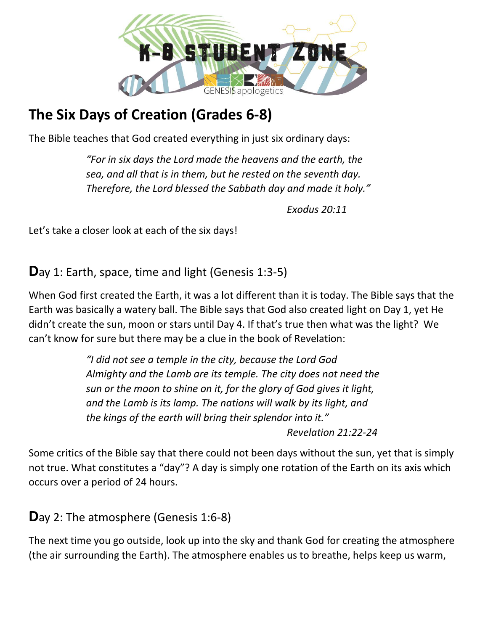

# **The Six Days of Creation (Grades 6-8)**

The Bible teaches that God created everything in just six ordinary days:

*"For in six days the Lord made the heavens and the earth, the sea, and all that is in them, but he rested on the seventh day. Therefore, the Lord blessed the Sabbath day and made it holy."* 

*Exodus 20:11*

Let's take a closer look at each of the six days!

**D**ay 1: Earth, space, time and light (Genesis 1:3-5)

When God first created the Earth, it was a lot different than it is today. The Bible says that the Earth was basically a watery ball. The Bible says that God also created light on Day 1, yet He didn't create the sun, moon or stars until Day 4. If that's true then what was the light? We can't know for sure but there may be a clue in the book of Revelation:

> *"I did not see a temple in the city, because the Lord God Almighty and the Lamb are its temple. The city does not need the sun or the moon to shine on it, for the glory of God gives it light, and the Lamb is its lamp. The nations will walk by its light, and the kings of the earth will bring their splendor into it." Revelation 21:22-24*

Some critics of the Bible say that there could not been days without the sun, yet that is simply not true. What constitutes a "day"? A day is simply one rotation of the Earth on its axis which occurs over a period of 24 hours.

**D**ay 2: The atmosphere (Genesis 1:6-8)

The next time you go outside, look up into the sky and thank God for creating the atmosphere (the air surrounding the Earth). The atmosphere enables us to breathe, helps keep us warm,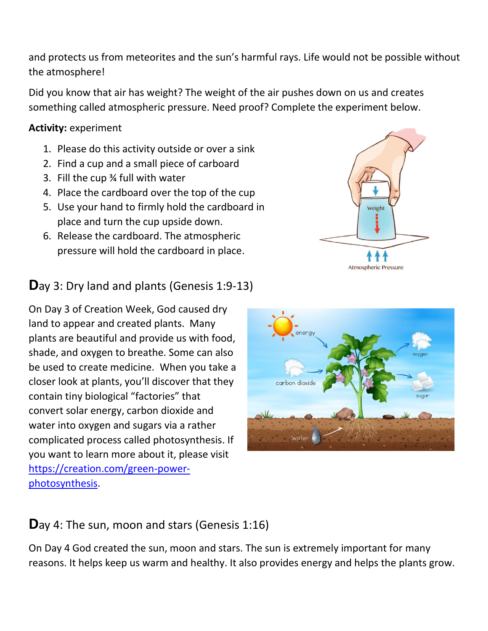and protects us from meteorites and the sun's harmful rays. Life would not be possible without the atmosphere!

Did you know that air has weight? The weight of the air pushes down on us and creates something called atmospheric pressure. Need proof? Complete the experiment below.

#### **Activity:** experiment

- 1. Please do this activity outside or over a sink
- 2. Find a cup and a small piece of carboard
- 3. Fill the cup ¾ full with water
- 4. Place the cardboard over the top of the cup
- 5. Use your hand to firmly hold the cardboard in place and turn the cup upside down.
- 6. Release the cardboard. The atmospheric pressure will hold the cardboard in place.

### **D**ay 3: Dry land and plants (Genesis 1:9-13)

On Day 3 of Creation Week, God caused dry land to appear and created plants. Many plants are beautiful and provide us with food, shade, and oxygen to breathe. Some can also be used to create medicine. When you take a closer look at plants, you'll discover that they contain tiny biological "factories" that convert solar energy, carbon dioxide and water into oxygen and sugars via a rather complicated process called photosynthesis. If you want to learn more about it, please visit [https://creation.com/green-power](https://creation.com/green-power-photosynthesis)[photosynthesis.](https://creation.com/green-power-photosynthesis)



## **D**ay 4: The sun, moon and stars (Genesis 1:16)

On Day 4 God created the sun, moon and stars. The sun is extremely important for many reasons. It helps keep us warm and healthy. It also provides energy and helps the plants grow.

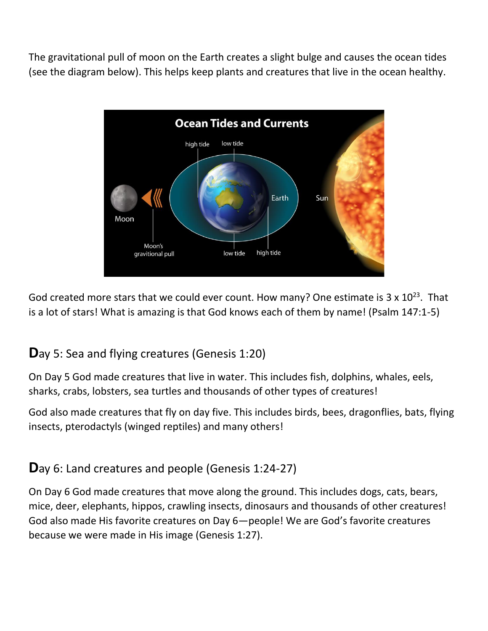The gravitational pull of moon on the Earth creates a slight bulge and causes the ocean tides (see the diagram below). This helps keep plants and creatures that live in the ocean healthy.



God created more stars that we could ever count. How many? One estimate is  $3 \times 10^{23}$ . That is a lot of stars! What is amazing is that God knows each of them by name! (Psalm 147:1-5)

### **D**ay 5: Sea and flying creatures (Genesis 1:20)

On Day 5 God made creatures that live in water. This includes fish, dolphins, whales, eels, sharks, crabs, lobsters, sea turtles and thousands of other types of creatures!

God also made creatures that fly on day five. This includes birds, bees, dragonflies, bats, flying insects, pterodactyls (winged reptiles) and many others!

**D**ay 6: Land creatures and people (Genesis 1:24-27)

On Day 6 God made creatures that move along the ground. This includes dogs, cats, bears, mice, deer, elephants, hippos, crawling insects, dinosaurs and thousands of other creatures! God also made His favorite creatures on Day 6—people! We are God's favorite creatures because we were made in His image (Genesis 1:27).